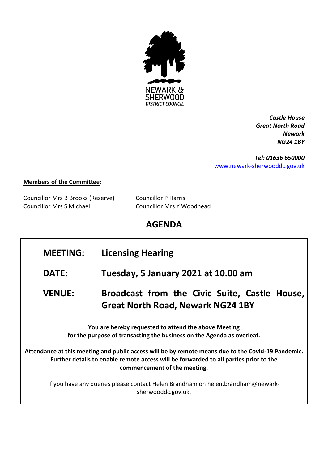

*Castle House Great North Road Newark NG24 1BY*

*Tel: 01636 650000* [www.newark-sherwooddc.gov.uk](http://www.newark-sherwooddc.gov.uk/)

## **Members of the Committee:**

Councillor Mrs B Brooks (Reserve) Councillor P Harris Councillor Mrs S Michael Councillor Mrs Y Woodhead

## **AGENDA**

## **MEETING: Licensing Hearing DATE: Tuesday, 5 January 2021 at 10.00 am VENUE: Broadcast from the Civic Suite, Castle House, Great North Road, Newark NG24 1BY You are hereby requested to attend the above Meeting for the purpose of transacting the business on the Agenda as overleaf. Attendance at this meeting and public access will be by remote means due to the Covid-19 Pandemic. Further details to enable remote access will be forwarded to all parties prior to the commencement of the meeting.** If you have any queries please contact Helen Brandham on helen.brandham@newarksherwooddc.gov.uk.